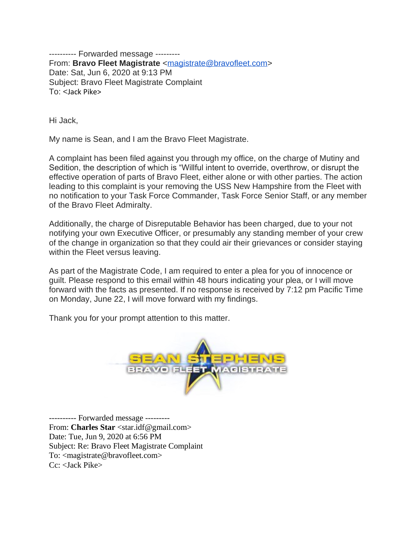---------- Forwarded message --------- From: **Bravo Fleet Magistrate** [<magistrate@bravofleet.com>](mailto:magistrate@bravofleet.com) Date: Sat, Jun 6, 2020 at 9:13 PM Subject: Bravo Fleet Magistrate Complaint To: <Jack Pike>

Hi Jack,

My name is Sean, and I am the Bravo Fleet Magistrate.

A complaint has been filed against you through my office, on the charge of Mutiny and Sedition, the description of which is "Willful intent to override, overthrow, or disrupt the effective operation of parts of Bravo Fleet, either alone or with other parties. The action leading to this complaint is your removing the USS New Hampshire from the Fleet with no notification to your Task Force Commander, Task Force Senior Staff, or any member of the Bravo Fleet Admiralty.

Additionally, the charge of Disreputable Behavior has been charged, due to your not notifying your own Executive Officer, or presumably any standing member of your crew of the change in organization so that they could air their grievances or consider staying within the Fleet versus leaving.

As part of the Magistrate Code, I am required to enter a plea for you of innocence or guilt. Please respond to this email within 48 hours indicating your plea, or I will move forward with the facts as presented. If no response is received by 7:12 pm Pacific Time on Monday, June 22, I will move forward with my findings.

Thank you for your prompt attention to this matter.



---------- Forwarded message --------- From: **Charles Star** <star.idf@gmail.com> Date: Tue, Jun 9, 2020 at 6:56 PM Subject: Re: Bravo Fleet Magistrate Complaint To: <magistrate@bravofleet.com> Cc: <Jack Pike>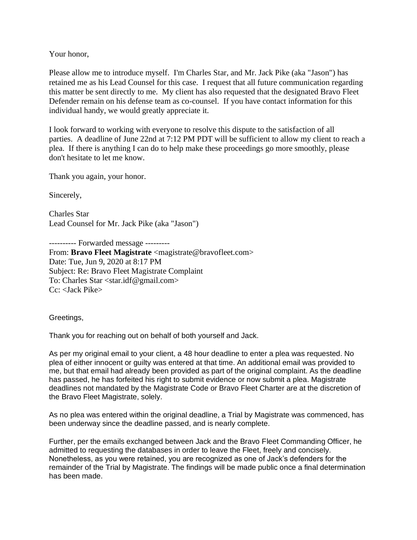Your honor,

Please allow me to introduce myself. I'm Charles Star, and Mr. Jack Pike (aka "Jason") has retained me as his Lead Counsel for this case. I request that all future communication regarding this matter be sent directly to me. My client has also requested that the designated Bravo Fleet Defender remain on his defense team as co-counsel. If you have contact information for this individual handy, we would greatly appreciate it.

I look forward to working with everyone to resolve this dispute to the satisfaction of all parties. A deadline of June 22nd at 7:12 PM PDT will be sufficient to allow my client to reach a plea. If there is anything I can do to help make these proceedings go more smoothly, please don't hesitate to let me know.

Thank you again, your honor.

Sincerely,

Charles Star Lead Counsel for Mr. Jack Pike (aka "Jason")

---------- Forwarded message ---------

From: **Bravo Fleet Magistrate** <magistrate@bravofleet.com> Date: Tue, Jun 9, 2020 at 8:17 PM Subject: Re: Bravo Fleet Magistrate Complaint To: Charles Star <star.idf@gmail.com> Cc: <Jack Pike>

Greetings,

Thank you for reaching out on behalf of both yourself and Jack.

As per my original email to your client, a 48 hour deadline to enter a plea was requested. No plea of either innocent or guilty was entered at that time. An additional email was provided to me, but that email had already been provided as part of the original complaint. As the deadline has passed, he has forfeited his right to submit evidence or now submit a plea. Magistrate deadlines not mandated by the Magistrate Code or Bravo Fleet Charter are at the discretion of the Bravo Fleet Magistrate, solely.

As no plea was entered within the original deadline, a Trial by Magistrate was commenced, has been underway since the deadline passed, and is nearly complete.

Further, per the emails exchanged between Jack and the Bravo Fleet Commanding Officer, he admitted to requesting the databases in order to leave the Fleet, freely and concisely. Nonetheless, as you were retained, you are recognized as one of Jack's defenders for the remainder of the Trial by Magistrate. The findings will be made public once a final determination has been made.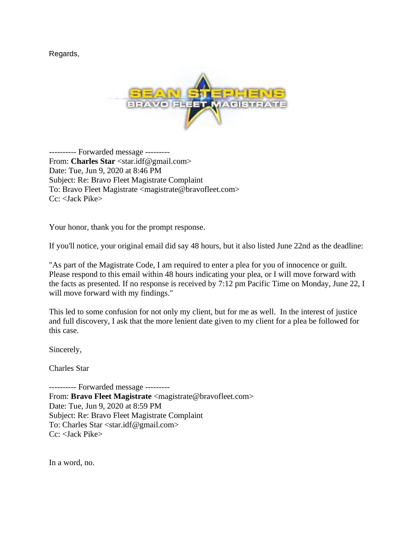Regards,



---------- Forwarded message --------- From: **Charles Star** <star.idf@gmail.com> Date: Tue, Jun 9, 2020 at 8:46 PM Subject: Re: Bravo Fleet Magistrate Complaint To: Bravo Fleet Magistrate <magistrate@bravofleet.com> Cc: <Jack Pike>

Your honor, thank you for the prompt response.

If you'll notice, your original email did say 48 hours, but it also listed June 22nd as the deadline:

"As part of the Magistrate Code, I am required to enter a plea for you of innocence or guilt. Please respond to this email within 48 hours indicating your plea, or I will move forward with the facts as presented. If no response is received by 7:12 pm Pacific Time on Monday, June 22, I will move forward with my findings."

This led to some confusion for not only my client, but for me as well. In the interest of justice and full discovery, I ask that the more lenient date given to my client for a plea be followed for this case.

Sincerely,

Charles Star

---------- Forwarded message --------- From: Bravo Fleet Magistrate <magistrate@bravofleet.com> Date: Tue, Jun 9, 2020 at 8:59 PM Subject: Re: Bravo Fleet Magistrate Complaint To: Charles Star <star.idf@gmail.com> Cc: <Jack Pike>

In a word, no.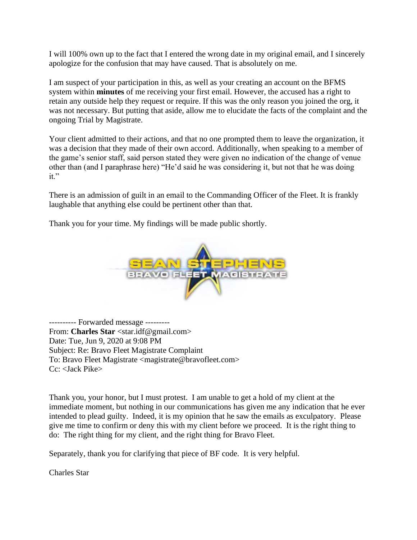I will 100% own up to the fact that I entered the wrong date in my original email, and I sincerely apologize for the confusion that may have caused. That is absolutely on me.

I am suspect of your participation in this, as well as your creating an account on the BFMS system within **minutes** of me receiving your first email. However, the accused has a right to retain any outside help they request or require. If this was the only reason you joined the org, it was not necessary. But putting that aside, allow me to elucidate the facts of the complaint and the ongoing Trial by Magistrate.

Your client admitted to their actions, and that no one prompted them to leave the organization, it was a decision that they made of their own accord. Additionally, when speaking to a member of the game's senior staff, said person stated they were given no indication of the change of venue other than (and I paraphrase here) "He'd said he was considering it, but not that he was doing it."

There is an admission of guilt in an email to the Commanding Officer of the Fleet. It is frankly laughable that anything else could be pertinent other than that.

Thank you for your time. My findings will be made public shortly.



---------- Forwarded message --------- From: **Charles Star** <star.idf@gmail.com> Date: Tue, Jun 9, 2020 at 9:08 PM Subject: Re: Bravo Fleet Magistrate Complaint To: Bravo Fleet Magistrate <magistrate@bravofleet.com> Cc: <Jack Pike>

Thank you, your honor, but I must protest. I am unable to get a hold of my client at the immediate moment, but nothing in our communications has given me any indication that he ever intended to plead guilty. Indeed, it is my opinion that he saw the emails as exculpatory. Please give me time to confirm or deny this with my client before we proceed. It is the right thing to do: The right thing for my client, and the right thing for Bravo Fleet.

Separately, thank you for clarifying that piece of BF code. It is very helpful.

Charles Star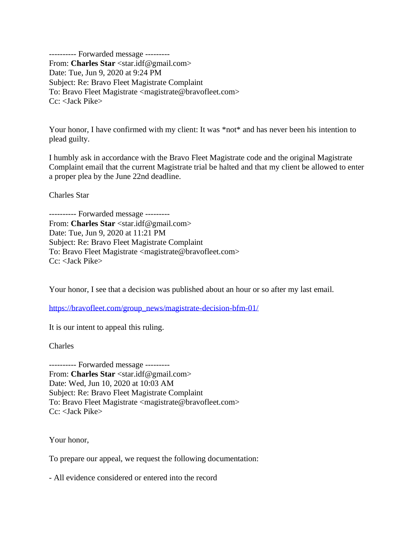---------- Forwarded message --------- From: **Charles Star** <star.idf@gmail.com> Date: Tue, Jun 9, 2020 at 9:24 PM Subject: Re: Bravo Fleet Magistrate Complaint To: Bravo Fleet Magistrate <magistrate@bravofleet.com> Cc: <Jack Pike>

Your honor, I have confirmed with my client: It was \*not\* and has never been his intention to plead guilty.

I humbly ask in accordance with the Bravo Fleet Magistrate code and the original Magistrate Complaint email that the current Magistrate trial be halted and that my client be allowed to enter a proper plea by the June 22nd deadline.

Charles Star

---------- Forwarded message --------- From: **Charles Star** <star.idf@gmail.com> Date: Tue, Jun 9, 2020 at 11:21 PM Subject: Re: Bravo Fleet Magistrate Complaint To: Bravo Fleet Magistrate <magistrate@bravofleet.com> Cc: <Jack Pike>

Your honor, I see that a decision was published about an hour or so after my last email.

[https://bravofleet.com/group\\_news/magistrate-decision-bfm-01/](https://bravofleet.com/group_news/magistrate-decision-bfm-01/)

It is our intent to appeal this ruling.

Charles

---------- Forwarded message --------- From: **Charles Star** <star.idf@gmail.com> Date: Wed, Jun 10, 2020 at 10:03 AM Subject: Re: Bravo Fleet Magistrate Complaint To: Bravo Fleet Magistrate <magistrate@bravofleet.com> Cc: <Jack Pike>

Your honor,

To prepare our appeal, we request the following documentation:

- All evidence considered or entered into the record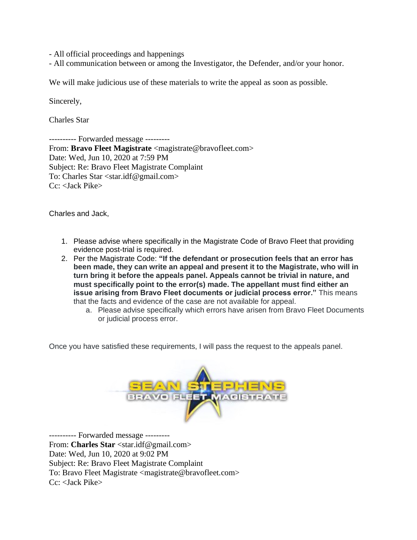- All official proceedings and happenings

- All communication between or among the Investigator, the Defender, and/or your honor.

We will make judicious use of these materials to write the appeal as soon as possible.

Sincerely,

Charles Star

---------- Forwarded message --------- From: **Bravo Fleet Magistrate** <magistrate@bravofleet.com> Date: Wed, Jun 10, 2020 at 7:59 PM Subject: Re: Bravo Fleet Magistrate Complaint To: Charles Star <star.idf@gmail.com> Cc: <Jack Pike>

Charles and Jack,

- 1. Please advise where specifically in the Magistrate Code of Bravo Fleet that providing evidence post-trial is required.
- 2. Per the Magistrate Code: **"If the defendant or prosecution feels that an error has been made, they can write an appeal and present it to the Magistrate, who will in turn bring it before the appeals panel. Appeals cannot be trivial in nature, and must specifically point to the error(s) made. The appellant must find either an issue arising from Bravo Fleet documents or judicial process error."** This means that the facts and evidence of the case are not available for appeal.
	- a. Please advise specifically which errors have arisen from Bravo Fleet Documents or judicial process error.

Once you have satisfied these requirements, I will pass the request to the appeals panel.



---------- Forwarded message --------- From: **Charles Star** <star.idf@gmail.com> Date: Wed, Jun 10, 2020 at 9:02 PM Subject: Re: Bravo Fleet Magistrate Complaint To: Bravo Fleet Magistrate <magistrate@bravofleet.com> Cc: <Jack Pike>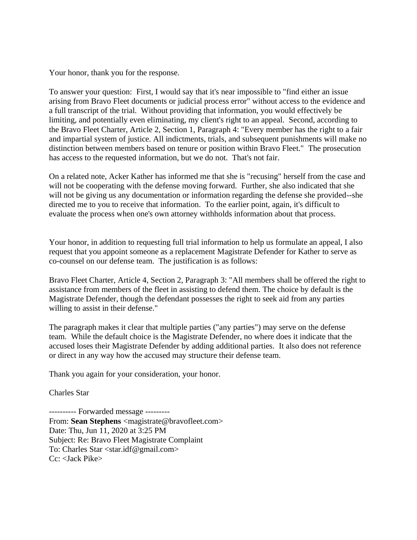Your honor, thank you for the response.

To answer your question: First, I would say that it's near impossible to "find either an issue arising from Bravo Fleet documents or judicial process error" without access to the evidence and a full transcript of the trial. Without providing that information, you would effectively be limiting, and potentially even eliminating, my client's right to an appeal. Second, according to the Bravo Fleet Charter, Article 2, Section 1, Paragraph 4: "Every member has the right to a fair and impartial system of justice. All indictments, trials, and subsequent punishments will make no distinction between members based on tenure or position within Bravo Fleet." The prosecution has access to the requested information, but we do not. That's not fair.

On a related note, Acker Kather has informed me that she is "recusing" herself from the case and will not be cooperating with the defense moving forward. Further, she also indicated that she will not be giving us any documentation or information regarding the defense she provided--she directed me to you to receive that information. To the earlier point, again, it's difficult to evaluate the process when one's own attorney withholds information about that process.

Your honor, in addition to requesting full trial information to help us formulate an appeal, I also request that you appoint someone as a replacement Magistrate Defender for Kather to serve as co-counsel on our defense team. The justification is as follows:

Bravo Fleet Charter, Article 4, Section 2, Paragraph 3: "All members shall be offered the right to assistance from members of the fleet in assisting to defend them. The choice by default is the Magistrate Defender, though the defendant possesses the right to seek aid from any parties willing to assist in their defense."

The paragraph makes it clear that multiple parties ("any parties") may serve on the defense team. While the default choice is the Magistrate Defender, no where does it indicate that the accused loses their Magistrate Defender by adding additional parties. It also does not reference or direct in any way how the accused may structure their defense team.

Thank you again for your consideration, your honor.

### Charles Star

---------- Forwarded message --------- From: **Sean Stephens** <magistrate@bravofleet.com> Date: Thu, Jun 11, 2020 at 3:25 PM Subject: Re: Bravo Fleet Magistrate Complaint To: Charles Star <star.idf@gmail.com> Cc: <Jack Pike>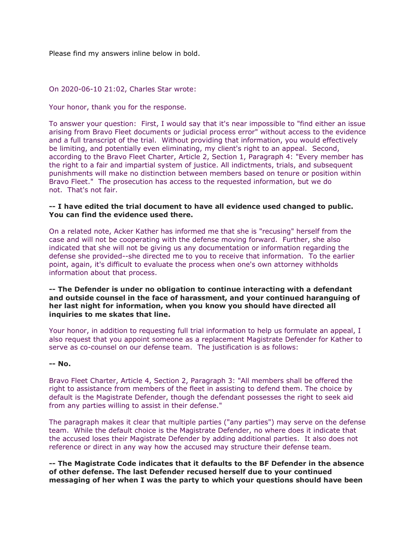Please find my answers inline below in bold.

#### On 2020-06-10 21:02, Charles Star wrote:

Your honor, thank you for the response.

To answer your question: First, I would say that it's near impossible to "find either an issue arising from Bravo Fleet documents or judicial process error" without access to the evidence and a full transcript of the trial. Without providing that information, you would effectively be limiting, and potentially even eliminating, my client's right to an appeal. Second, according to the Bravo Fleet Charter, Article 2, Section 1, Paragraph 4: "Every member has the right to a fair and impartial system of justice. All indictments, trials, and subsequent punishments will make no distinction between members based on tenure or position within Bravo Fleet." The prosecution has access to the requested information, but we do not. That's not fair.

#### **-- I have edited the trial document to have all evidence used changed to public. You can find the evidence used there.**

On a related note, Acker Kather has informed me that she is "recusing" herself from the case and will not be cooperating with the defense moving forward. Further, she also indicated that she will not be giving us any documentation or information regarding the defense she provided--she directed me to you to receive that information. To the earlier point, again, it's difficult to evaluate the process when one's own attorney withholds information about that process.

### **-- The Defender is under no obligation to continue interacting with a defendant and outside counsel in the face of harassment, and your continued haranguing of her last night for information, when you know you should have directed all inquiries to me skates that line.**

Your honor, in addition to requesting full trial information to help us formulate an appeal, I also request that you appoint someone as a replacement Magistrate Defender for Kather to serve as co-counsel on our defense team. The justification is as follows:

### **-- No.**

Bravo Fleet Charter, Article 4, Section 2, Paragraph 3: "All members shall be offered the right to assistance from members of the fleet in assisting to defend them. The choice by default is the Magistrate Defender, though the defendant possesses the right to seek aid from any parties willing to assist in their defense."

The paragraph makes it clear that multiple parties ("any parties") may serve on the defense team. While the default choice is the Magistrate Defender, no where does it indicate that the accused loses their Magistrate Defender by adding additional parties. It also does not reference or direct in any way how the accused may structure their defense team.

**-- The Magistrate Code indicates that it defaults to the BF Defender in the absence of other defense. The last Defender recused herself due to your continued messaging of her when I was the party to which your questions should have been**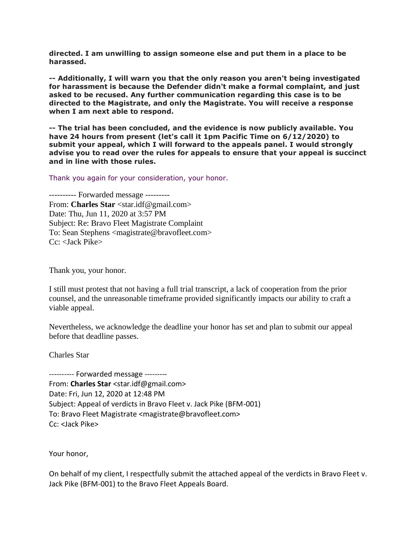**directed. I am unwilling to assign someone else and put them in a place to be harassed.**

**-- Additionally, I will warn you that the only reason you aren't being investigated for harassment is because the Defender didn't make a formal complaint, and just asked to be recused. Any further communication regarding this case is to be directed to the Magistrate, and only the Magistrate. You will receive a response when I am next able to respond.**

**-- The trial has been concluded, and the evidence is now publicly available. You have 24 hours from present (let's call it 1pm Pacific Time on 6/12/2020) to submit your appeal, which I will forward to the appeals panel. I would strongly advise you to read over the rules for appeals to ensure that your appeal is succinct and in line with those rules.**

Thank you again for your consideration, your honor.

---------- Forwarded message --------- From: **Charles Star** <star.idf@gmail.com> Date: Thu, Jun 11, 2020 at 3:57 PM Subject: Re: Bravo Fleet Magistrate Complaint To: Sean Stephens <magistrate@bravofleet.com>  $Cc$ : < Jack Pike>

Thank you, your honor.

I still must protest that not having a full trial transcript, a lack of cooperation from the prior counsel, and the unreasonable timeframe provided significantly impacts our ability to craft a viable appeal.

Nevertheless, we acknowledge the deadline your honor has set and plan to submit our appeal before that deadline passes.

Charles Star

---------- Forwarded message --------- From: **Charles Star** <star.idf@gmail.com> Date: Fri, Jun 12, 2020 at 12:48 PM Subject: Appeal of verdicts in Bravo Fleet v. Jack Pike (BFM-001) To: Bravo Fleet Magistrate <magistrate@bravofleet.com> Cc: <Jack Pike>

Your honor,

On behalf of my client, I respectfully submit the attached appeal of the verdicts in Bravo Fleet v. Jack Pike (BFM-001) to the Bravo Fleet Appeals Board.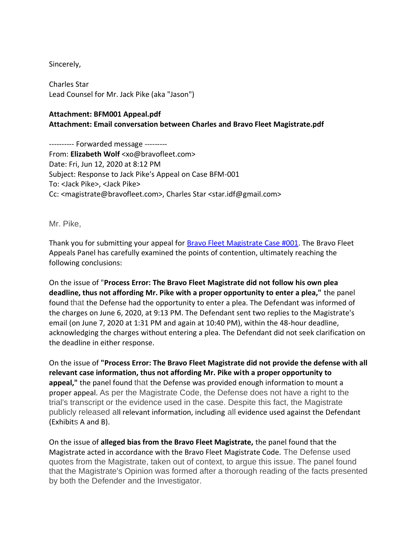### Sincerely,

Charles Star Lead Counsel for Mr. Jack Pike (aka "Jason")

## **Attachment: BFM001 Appeal.pdf**

**Attachment: Email conversation between Charles and Bravo Fleet Magistrate.pdf**

---------- Forwarded message --------- From: **Elizabeth Wolf** <xo@bravofleet.com> Date: Fri, Jun 12, 2020 at 8:12 PM Subject: Response to Jack Pike's Appeal on Case BFM-001 To: <Jack Pike>, <Jack Pike> Cc: <magistrate@bravofleet.com>, Charles Star <star.idf@gmail.com>

Mr. Pike,

Thank you for submitting your appeal for [Bravo Fleet Magistrate Case #001.](https://bravofleet.com/trials/23332/) The Bravo Fleet Appeals Panel has carefully examined the points of contention, ultimately reaching the following conclusions:

On the issue of "**Process Error: The Bravo Fleet Magistrate did not follow his own plea deadline, thus not affording Mr. Pike with a proper opportunity to enter a plea,"** the panel found that the Defense had the opportunity to enter a plea. The Defendant was informed of the charges on June 6, 2020, at 9:13 PM. The Defendant sent two replies to the Magistrate's email (on June 7, 2020 at 1:31 PM and again at 10:40 PM), within the 48-hour deadline, acknowledging the charges without entering a plea. The Defendant did not seek clarification on the deadline in either response.

On the issue of **"Process Error: The Bravo Fleet Magistrate did not provide the defense with all relevant case information, thus not affording Mr. Pike with a proper opportunity to appeal,"** the panel found that the Defense was provided enough information to mount a proper appeal. As per the Magistrate Code, the Defense does not have a right to the trial's transcript or the evidence used in the case. Despite this fact, the Magistrate publicly released all relevant information, including all evidence used against the Defendant (Exhibits A and B).

On the issue of **alleged bias from the Bravo Fleet Magistrate,** the panel found that the Magistrate acted in accordance with the Bravo Fleet Magistrate Code. The Defense used quotes from the Magistrate, taken out of context, to argue this issue. The panel found that the Magistrate's Opinion was formed after a thorough reading of the facts presented by both the Defender and the Investigator.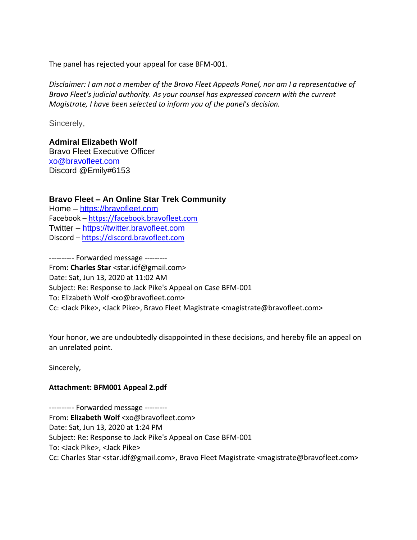The panel has rejected your appeal for case BFM-001.

*Disclaimer: I am not a member of the Bravo Fleet Appeals Panel, nor am I a representative of Bravo Fleet's judicial authority. As your counsel has expressed concern with the current Magistrate, I have been selected to inform you of the panel's decision.*

Sincerely,

# **Admiral Elizabeth Wolf**

Bravo Fleet Executive Officer [xo@bravofleet.com](mailto:xo@bravofleet.com) Discord @Emily#6153

# **Bravo Fleet – An Online Star Trek Community**

Home – [https://bravofleet.com](https://bravofleet.com/) Facebook – [https://facebook.bravofleet.com](https://facebook.bravofleet.com/) Twitter – [https://twitter.bravofleet.com](https://twitter.bravofleet.com/) Discord – [https://discord.bravofleet.com](https://discord.bravofleet.com/)

---------- Forwarded message --------- From: **Charles Star** <star.idf@gmail.com> Date: Sat, Jun 13, 2020 at 11:02 AM Subject: Re: Response to Jack Pike's Appeal on Case BFM-001 To: Elizabeth Wolf <xo@bravofleet.com> Cc: <Jack Pike>, <Jack Pike>, Bravo Fleet Magistrate <magistrate@bravofleet.com>

Your honor, we are undoubtedly disappointed in these decisions, and hereby file an appeal on an unrelated point.

Sincerely,

# **Attachment: BFM001 Appeal 2.pdf**

---------- Forwarded message --------- From: **Elizabeth Wolf** <xo@bravofleet.com> Date: Sat, Jun 13, 2020 at 1:24 PM Subject: Re: Response to Jack Pike's Appeal on Case BFM-001 To: <Jack Pike>, <Jack Pike> Cc: Charles Star <star.idf@gmail.com>, Bravo Fleet Magistrate <magistrate@bravofleet.com>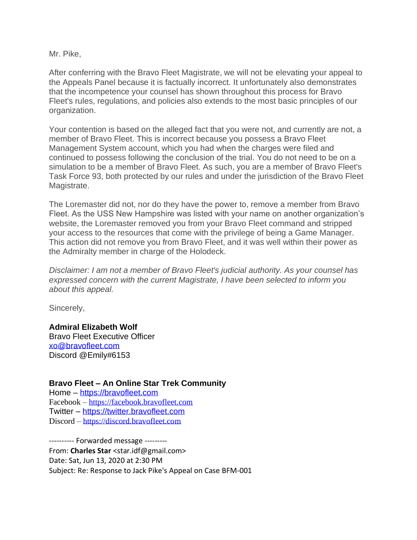Mr. Pike,

After conferring with the Bravo Fleet Magistrate, we will not be elevating your appeal to the Appeals Panel because it is factually incorrect. It unfortunately also demonstrates that the incompetence your counsel has shown throughout this process for Bravo Fleet's rules, regulations, and policies also extends to the most basic principles of our organization.

Your contention is based on the alleged fact that you were not, and currently are not, a member of Bravo Fleet. This is incorrect because you possess a Bravo Fleet Management System account, which you had when the charges were filed and continued to possess following the conclusion of the trial. You do not need to be on a simulation to be a member of Bravo Fleet. As such, you are a member of Bravo Fleet's Task Force 93, both protected by our rules and under the jurisdiction of the Bravo Fleet Magistrate.

The Loremaster did not, nor do they have the power to, remove a member from Bravo Fleet. As the USS New Hampshire was listed with your name on another organization's website, the Loremaster removed you from your Bravo Fleet command and stripped your access to the resources that come with the privilege of being a Game Manager. This action did not remove you from Bravo Fleet, and it was well within their power as the Admiralty member in charge of the Holodeck.

*Disclaimer: I am not a member of Bravo Fleet's judicial authority. As your counsel has expressed concern with the current Magistrate, I have been selected to inform you about this appeal.*

Sincerely,

**Admiral Elizabeth Wolf** Bravo Fleet Executive Officer [xo@bravofleet.com](mailto:xo@bravofleet.com) Discord @Emily#6153

## **Bravo Fleet – An Online Star Trek Community**

Home – [https://bravofleet.com](https://bravofleet.com/) Facebook – [https://facebook.bravofleet.com](https://facebook.bravofleet.com/) Twitter – [https://twitter.bravofleet.com](https://twitter.bravofleet.com/) Discord – [https://discord.bravofleet.com](https://discord.bravofleet.com/)

---------- Forwarded message --------- From: **Charles Star** <star.idf@gmail.com> Date: Sat, Jun 13, 2020 at 2:30 PM Subject: Re: Response to Jack Pike's Appeal on Case BFM-001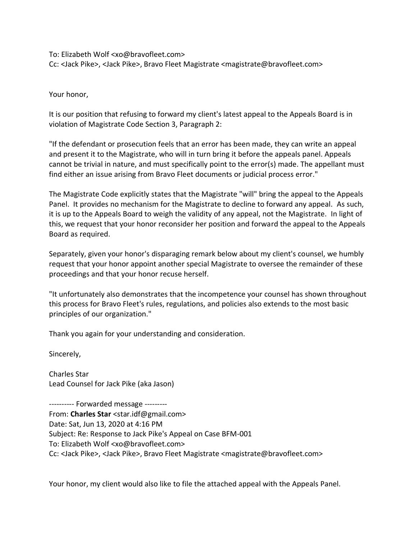To: Elizabeth Wolf <xo@bravofleet.com> Cc: <Jack Pike>, <Jack Pike>, Bravo Fleet Magistrate <magistrate@bravofleet.com>

Your honor,

It is our position that refusing to forward my client's latest appeal to the Appeals Board is in violation of Magistrate Code Section 3, Paragraph 2:

"If the defendant or prosecution feels that an error has been made, they can write an appeal and present it to the Magistrate, who will in turn bring it before the appeals panel. Appeals cannot be trivial in nature, and must specifically point to the error(s) made. The appellant must find either an issue arising from Bravo Fleet documents or judicial process error."

The Magistrate Code explicitly states that the Magistrate "will" bring the appeal to the Appeals Panel. It provides no mechanism for the Magistrate to decline to forward any appeal. As such, it is up to the Appeals Board to weigh the validity of any appeal, not the Magistrate. In light of this, we request that your honor reconsider her position and forward the appeal to the Appeals Board as required.

Separately, given your honor's disparaging remark below about my client's counsel, we humbly request that your honor appoint another special Magistrate to oversee the remainder of these proceedings and that your honor recuse herself.

"It unfortunately also demonstrates that the incompetence your counsel has shown throughout this process for Bravo Fleet's rules, regulations, and policies also extends to the most basic principles of our organization."

Thank you again for your understanding and consideration.

Sincerely,

Charles Star Lead Counsel for Jack Pike (aka Jason)

---------- Forwarded message --------- From: **Charles Star** <star.idf@gmail.com> Date: Sat, Jun 13, 2020 at 4:16 PM Subject: Re: Response to Jack Pike's Appeal on Case BFM-001 To: Elizabeth Wolf <xo@bravofleet.com> Cc: <Jack Pike>, <Jack Pike>, Bravo Fleet Magistrate <magistrate@bravofleet.com>

Your honor, my client would also like to file the attached appeal with the Appeals Panel.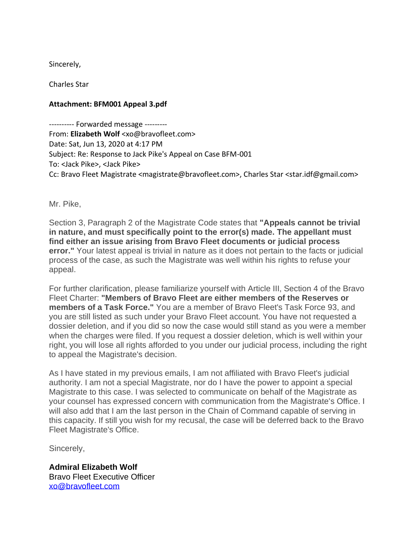Sincerely,

Charles Star

## **Attachment: BFM001 Appeal 3.pdf**

---------- Forwarded message --------- From: **Elizabeth Wolf** <xo@bravofleet.com> Date: Sat, Jun 13, 2020 at 4:17 PM Subject: Re: Response to Jack Pike's Appeal on Case BFM-001 To: <Jack Pike>, <Jack Pike> Cc: Bravo Fleet Magistrate <magistrate@bravofleet.com>, Charles Star <star.idf@gmail.com>

Mr. Pike,

Section 3, Paragraph 2 of the Magistrate Code states that **"Appeals cannot be trivial in nature, and must specifically point to the error(s) made. The appellant must find either an issue arising from Bravo Fleet documents or judicial process error."** Your latest appeal is trivial in nature as it does not pertain to the facts or judicial process of the case, as such the Magistrate was well within his rights to refuse your appeal.

For further clarification, please familiarize yourself with Article III, Section 4 of the Bravo Fleet Charter: **"Members of Bravo Fleet are either members of the Reserves or members of a Task Force."** You are a member of Bravo Fleet's Task Force 93, and you are still listed as such under your Bravo Fleet account. You have not requested a dossier deletion, and if you did so now the case would still stand as you were a member when the charges were filed. If you request a dossier deletion, which is well within your right, you will lose all rights afforded to you under our judicial process, including the right to appeal the Magistrate's decision.

As I have stated in my previous emails, I am not affiliated with Bravo Fleet's judicial authority. I am not a special Magistrate, nor do I have the power to appoint a special Magistrate to this case. I was selected to communicate on behalf of the Magistrate as your counsel has expressed concern with communication from the Magistrate's Office. I will also add that I am the last person in the Chain of Command capable of serving in this capacity. If still you wish for my recusal, the case will be deferred back to the Bravo Fleet Magistrate's Office.

Sincerely,

**Admiral Elizabeth Wolf** Bravo Fleet Executive Officer [xo@bravofleet.com](mailto:xo@bravofleet.com)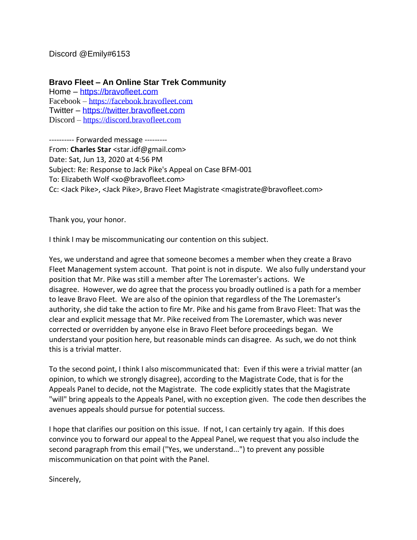Discord @Emily#6153

**Bravo Fleet – An Online Star Trek Community**

Home – [https://bravofleet.com](https://bravofleet.com/) Facebook – [https://facebook.bravofleet.com](https://facebook.bravofleet.com/) Twitter – [https://twitter.bravofleet.com](https://twitter.bravofleet.com/) Discord – [https://discord.bravofleet.com](https://discord.bravofleet.com/)

---------- Forwarded message --------- From: **Charles Star** <star.idf@gmail.com> Date: Sat, Jun 13, 2020 at 4:56 PM Subject: Re: Response to Jack Pike's Appeal on Case BFM-001 To: Elizabeth Wolf <xo@bravofleet.com> Cc: <Jack Pike>, <Jack Pike>, Bravo Fleet Magistrate <magistrate@bravofleet.com>

Thank you, your honor.

I think I may be miscommunicating our contention on this subject.

Yes, we understand and agree that someone becomes a member when they create a Bravo Fleet Management system account. That point is not in dispute. We also fully understand your position that Mr. Pike was still a member after The Loremaster's actions. We disagree. However, we do agree that the process you broadly outlined is a path for a member to leave Bravo Fleet. We are also of the opinion that regardless of the The Loremaster's authority, she did take the action to fire Mr. Pike and his game from Bravo Fleet: That was the clear and explicit message that Mr. Pike received from The Loremaster, which was never corrected or overridden by anyone else in Bravo Fleet before proceedings began. We understand your position here, but reasonable minds can disagree. As such, we do not think this is a trivial matter.

To the second point, I think I also miscommunicated that: Even if this were a trivial matter (an opinion, to which we strongly disagree), according to the Magistrate Code, that is for the Appeals Panel to decide, not the Magistrate. The code explicitly states that the Magistrate "will" bring appeals to the Appeals Panel, with no exception given. The code then describes the avenues appeals should pursue for potential success.

I hope that clarifies our position on this issue. If not, I can certainly try again. If this does convince you to forward our appeal to the Appeal Panel, we request that you also include the second paragraph from this email ("Yes, we understand...") to prevent any possible miscommunication on that point with the Panel.

Sincerely,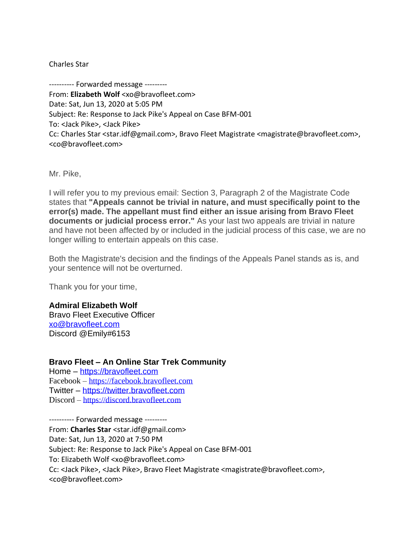Charles Star

---------- Forwarded message --------- From: **Elizabeth Wolf** <xo@bravofleet.com> Date: Sat, Jun 13, 2020 at 5:05 PM Subject: Re: Response to Jack Pike's Appeal on Case BFM-001 To: <Jack Pike>, <Jack Pike> Cc: Charles Star <star.idf@gmail.com>, Bravo Fleet Magistrate <magistrate@bravofleet.com>, <co@bravofleet.com>

Mr. Pike,

I will refer you to my previous email: Section 3, Paragraph 2 of the Magistrate Code states that **"Appeals cannot be trivial in nature, and must specifically point to the error(s) made. The appellant must find either an issue arising from Bravo Fleet documents or judicial process error."** As your last two appeals are trivial in nature and have not been affected by or included in the judicial process of this case, we are no longer willing to entertain appeals on this case.

Both the Magistrate's decision and the findings of the Appeals Panel stands as is, and your sentence will not be overturned.

Thank you for your time,

### **Admiral Elizabeth Wolf**

Bravo Fleet Executive Officer [xo@bravofleet.com](mailto:xo@bravofleet.com) Discord @Emily#6153

## **Bravo Fleet – An Online Star Trek Community**

Home – [https://bravofleet.com](https://bravofleet.com/) Facebook – [https://facebook.bravofleet.com](https://facebook.bravofleet.com/) Twitter – [https://twitter.bravofleet.com](https://twitter.bravofleet.com/) Discord – [https://discord.bravofleet.com](https://discord.bravofleet.com/)

---------- Forwarded message --------- From: **Charles Star** <star.idf@gmail.com> Date: Sat, Jun 13, 2020 at 7:50 PM Subject: Re: Response to Jack Pike's Appeal on Case BFM-001 To: Elizabeth Wolf <xo@bravofleet.com> Cc: <Jack Pike>, <Jack Pike>, Bravo Fleet Magistrate <magistrate@bravofleet.com>, <co@bravofleet.com>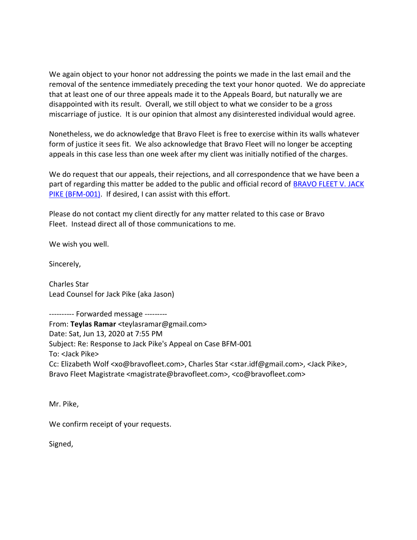We again object to your honor not addressing the points we made in the last email and the removal of the sentence immediately preceding the text your honor quoted. We do appreciate that at least one of our three appeals made it to the Appeals Board, but naturally we are disappointed with its result. Overall, we still object to what we consider to be a gross miscarriage of justice. It is our opinion that almost any disinterested individual would agree.

Nonetheless, we do acknowledge that Bravo Fleet is free to exercise within its walls whatever form of justice it sees fit. We also acknowledge that Bravo Fleet will no longer be accepting appeals in this case less than one week after my client was initially notified of the charges.

We do request that our appeals, their rejections, and all correspondence that we have been a part of regarding this matter be added to the public and official record of BRAVO FLEET V. JACK [PIKE \(BFM-001\).](https://bravofleet.com/trials/23332/) If desired, I can assist with this effort.

Please do not contact my client directly for any matter related to this case or Bravo Fleet. Instead direct all of those communications to me.

We wish you well.

Sincerely,

Charles Star Lead Counsel for Jack Pike (aka Jason)

---------- Forwarded message --------- From: **Teylas Ramar** <teylasramar@gmail.com> Date: Sat, Jun 13, 2020 at 7:55 PM Subject: Re: Response to Jack Pike's Appeal on Case BFM-001 To: <Jack Pike> Cc: Elizabeth Wolf <xo@bravofleet.com>, Charles Star <star.idf@gmail.com>, <Jack Pike>, Bravo Fleet Magistrate <magistrate@bravofleet.com>, <co@bravofleet.com>

Mr. Pike,

We confirm receipt of your requests.

Signed,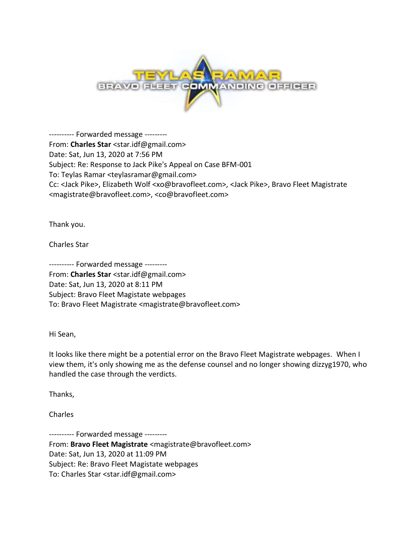

---------- Forwarded message --------- From: **Charles Star** <star.idf@gmail.com> Date: Sat, Jun 13, 2020 at 7:56 PM Subject: Re: Response to Jack Pike's Appeal on Case BFM-001 To: Teylas Ramar <teylasramar@gmail.com> Cc: <Jack Pike>, Elizabeth Wolf <xo@bravofleet.com>, <Jack Pike>, Bravo Fleet Magistrate <magistrate@bravofleet.com>, <co@bravofleet.com>

Thank you.

Charles Star

---------- Forwarded message --------- From: **Charles Star** <star.idf@gmail.com> Date: Sat, Jun 13, 2020 at 8:11 PM Subject: Bravo Fleet Magistate webpages To: Bravo Fleet Magistrate <magistrate@bravofleet.com>

Hi Sean,

It looks like there might be a potential error on the Bravo Fleet Magistrate webpages. When I view them, it's only showing me as the defense counsel and no longer showing dizzyg1970, who handled the case through the verdicts.

Thanks,

Charles

---------- Forwarded message --------- From: **Bravo Fleet Magistrate** <magistrate@bravofleet.com> Date: Sat, Jun 13, 2020 at 11:09 PM Subject: Re: Bravo Fleet Magistate webpages To: Charles Star <star.idf@gmail.com>